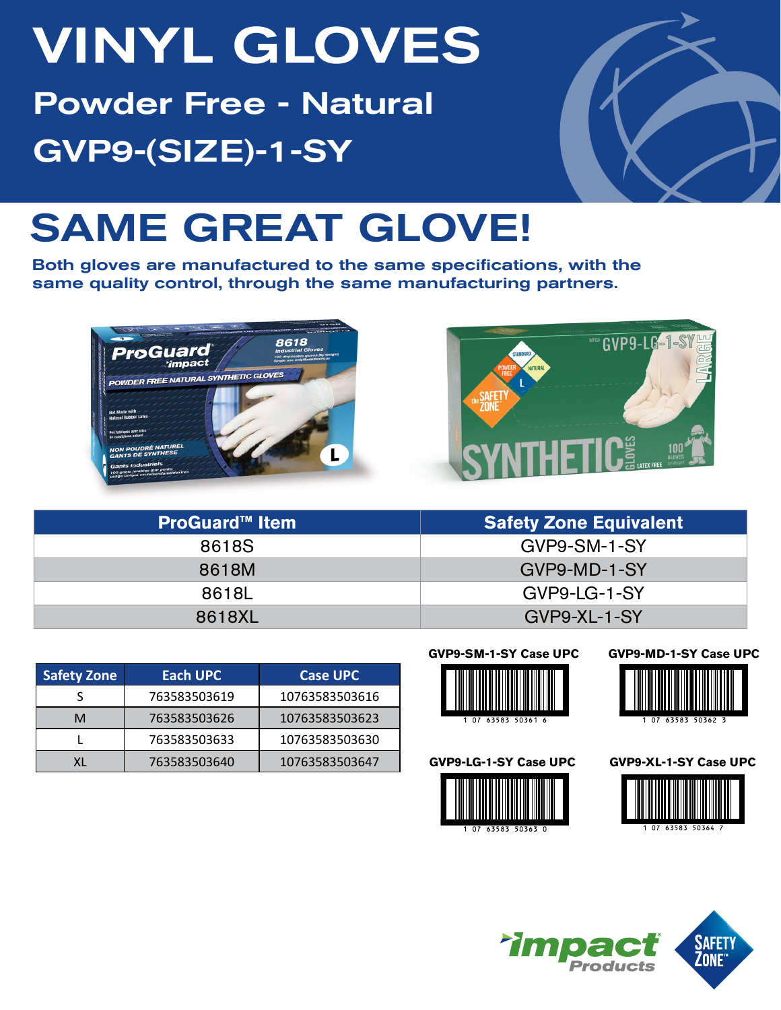# VINYL GLOVES Powder Free - Natural GVP9-(SIZE)-1-SY



## SAME GREAT GLOVE!

Both gloves are manufactured to the same specifications, with the same quality control, through the same manufacturing partners.





| <b>ProGuard™ Item</b> | <b>Safety Zone Equivalent</b> |
|-----------------------|-------------------------------|
| 8618S                 | GVP9-SM-1-SY                  |
| 8618M                 | GVP9-MD-1-SY                  |
| 8618L                 | GVP9-LG-1-SY                  |
| 8618XL                | GVP9-XL-1-SY                  |

| <b>Safety Zone</b> | Each UPC     | <b>Case UPC</b> |
|--------------------|--------------|-----------------|
|                    | 763583503619 | 10763583503616  |
| м                  | 763583503626 | 10763583503623  |
|                    | 763583503633 | 10763583503630  |
|                    | 763583503640 | 10763583503647  |

#### **GVP9-SM-1-SY Case UPC**



#### **GVP9-LG-1-SY Case UPC**



### **GVP9-MD-1-SY Case UPC**



**GVP9-XL-1-SY Case UPC**